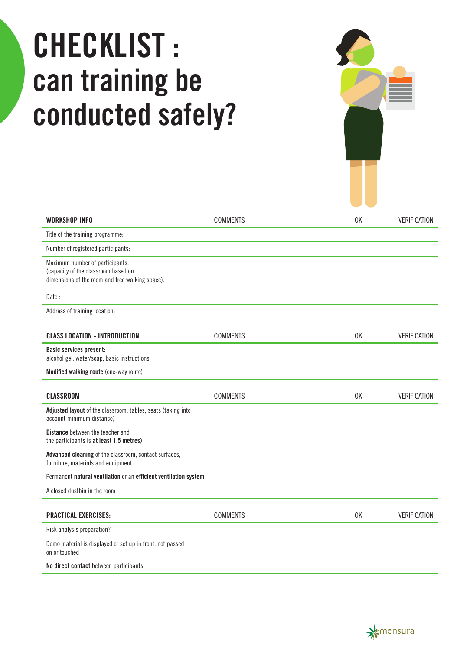## CHECKLIST : can training be conducted safely?

| WORKSHOP INFO                                                                                                             | <b>COMMENTS</b> | 0K | <b>VERIFICATION</b> |
|---------------------------------------------------------------------------------------------------------------------------|-----------------|----|---------------------|
| Title of the training programme:                                                                                          |                 |    |                     |
| Number of registered participants:                                                                                        |                 |    |                     |
| Maximum number of participants:<br>(capacity of the classroom based on<br>dimensions of the room and free walking space): |                 |    |                     |
| Date:                                                                                                                     |                 |    |                     |
| Address of training location:                                                                                             |                 |    |                     |
| <b>CLASS LOCATION - INTRODUCTION</b>                                                                                      | <b>COMMENTS</b> | 0K | <b>VERIFICATION</b> |
| <b>Basic services present:</b><br>alcohol gel, water/soap, basic instructions                                             |                 |    |                     |
| Modified walking route (one-way route)                                                                                    |                 |    |                     |
| <b>CLASSROOM</b>                                                                                                          | <b>COMMENTS</b> | 0K | <b>VERIFICATION</b> |
| Adjusted layout of the classroom, tables, seats (taking into<br>account minimum distance)                                 |                 |    |                     |
| <b>Distance</b> between the teacher and<br>the participants is at least 1.5 metres)                                       |                 |    |                     |
| Advanced cleaning of the classroom, contact surfaces,<br>furniture, materials and equipment                               |                 |    |                     |
| Permanent natural ventilation or an efficient ventilation system                                                          |                 |    |                     |
| A closed dustbin in the room                                                                                              |                 |    |                     |
| <b>PRACTICAL EXERCISES:</b>                                                                                               | <b>COMMENTS</b> | 0K | <b>VERIFICATION</b> |
| Risk analysis preparation?                                                                                                |                 |    |                     |
| Demo material is displayed or set up in front, not passed<br>on or touched                                                |                 |    |                     |
| No direct contact between participants                                                                                    |                 |    |                     |